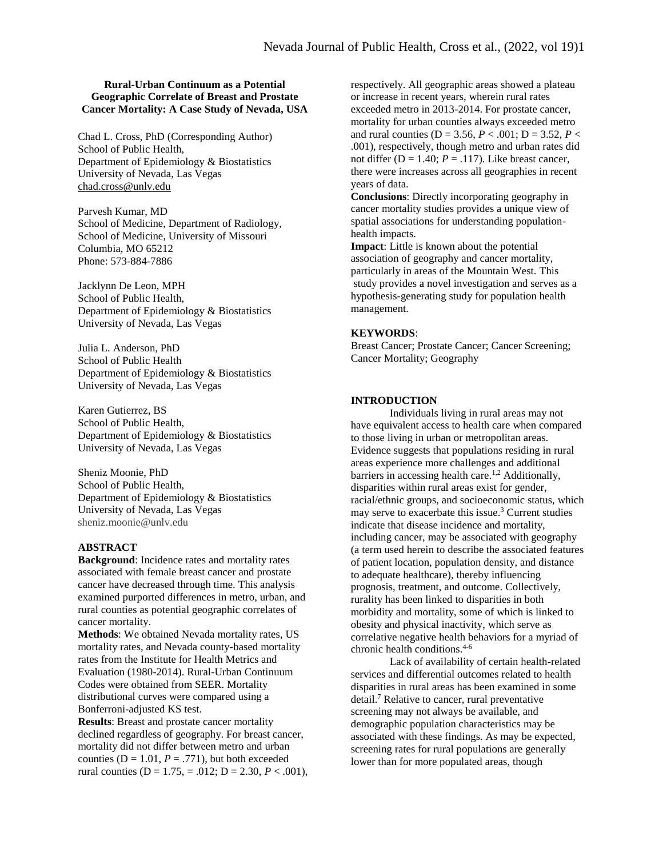## **Rural-Urban Continuum as a Potential Geographic Correlate of Breast and Prostate Cancer Mortality: A Case Study of Nevada, USA**

Chad L. Cross, PhD (Corresponding Author) School of Public Health, Department of Epidemiology & Biostatistics University of Nevada, Las Vegas [chad.cross@unlv.edu](mailto:chad.cross@unlv.edu)

Parvesh Kumar, MD School of Medicine, Department of Radiology, School of Medicine, University of Missouri Columbia, MO 65212 Phone: 573-884-7886

Jacklynn De Leon, MPH School of Public Health, Department of Epidemiology & Biostatistics University of Nevada, Las Vegas

Julia L. Anderson, PhD School of Public Health Department of Epidemiology & Biostatistics University of Nevada, Las Vegas

Karen Gutierrez, BS School of Public Health, Department of Epidemiology & Biostatistics University of Nevada, Las Vegas

Sheniz Moonie, PhD School of Public Health, Department of Epidemiology & Biostatistics University of Nevada, Las Vegas [sheniz.moonie@unlv.edu](mailto:sheniz.moonie@unlv.edu)

# **ABSTRACT**

**Background**: Incidence rates and mortality rates associated with female breast cancer and prostate cancer have decreased through time. This analysis examined purported differences in metro, urban, and rural counties as potential geographic correlates of cancer mortality.

**Methods**: We obtained Nevada mortality rates, US mortality rates, and Nevada county-based mortality rates from the Institute for Health Metrics and Evaluation (1980-2014). Rural-Urban Continuum Codes were obtained from SEER. Mortality distributional curves were compared using a Bonferroni-adjusted KS test.

**Results**: Breast and prostate cancer mortality declined regardless of geography. For breast cancer, mortality did not differ between metro and urban counties ( $D = 1.01$ ,  $P = .771$ ), but both exceeded rural counties ( $D = 1.75$ ,  $= .012$ ;  $D = 2.30$ ,  $P < .001$ ), respectively. All geographic areas showed a plateau or increase in recent years, wherein rural rates exceeded metro in 2013-2014. For prostate cancer, mortality for urban counties always exceeded metro and rural counties ( $D = 3.56$ ,  $P < .001$ ;  $D = 3.52$ ,  $P <$ .001), respectively, though metro and urban rates did not differ  $(D = 1.40; P = .117)$ . Like breast cancer, there were increases across all geographies in recent years of data.

**Conclusions**: Directly incorporating geography in cancer mortality studies provides a unique view of spatial associations for understanding populationhealth impacts.

**Impact**: Little is known about the potential association of geography and cancer mortality, particularly in areas of the Mountain West. This study provides a novel investigation and serves as a hypothesis-generating study for population health management.

## **KEYWORDS**:

Breast Cancer; Prostate Cancer; Cancer Screening; Cancer Mortality; Geography

## **INTRODUCTION**

Individuals living in rural areas may not have equivalent access to health care when compared to those living in urban or metropolitan areas. Evidence suggests that populations residing in rural areas experience more challenges and additional barriers in accessing health care.<sup>1,2</sup> Additionally, disparities within rural areas exist for gender, racial/ethnic groups, and socioeconomic status, which may serve to exacerbate this issue.<sup>3</sup> Current studies indicate that disease incidence and mortality, including cancer, may be associated with geography (a term used herein to describe the associated features of patient location, population density, and distance to adequate healthcare), thereby influencing prognosis, treatment, and outcome. Collectively, rurality has been linked to disparities in both morbidity and mortality, some of which is linked to obesity and physical inactivity, which serve as correlative negative health behaviors for a myriad of chronic health conditions.4-6

Lack of availability of certain health-related services and differential outcomes related to health disparities in rural areas has been examined in some detail.<sup>7</sup> Relative to cancer, rural preventative screening may not always be available, and demographic population characteristics may be associated with these findings. As may be expected, screening rates for rural populations are generally lower than for more populated areas, though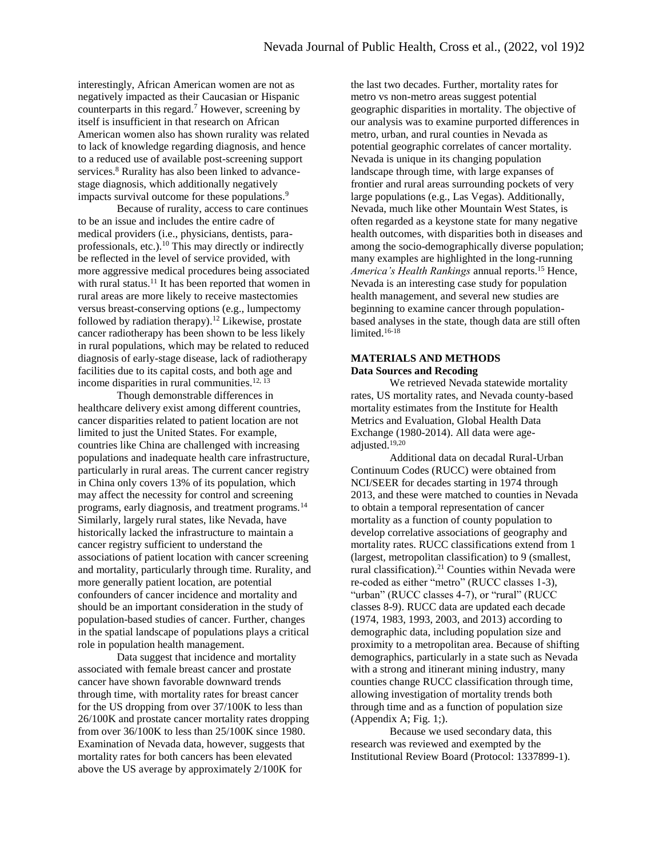interestingly, African American women are not as negatively impacted as their Caucasian or Hispanic counterparts in this regard.<sup>7</sup> However, screening by itself is insufficient in that research on African American women also has shown rurality was related to lack of knowledge regarding diagnosis, and hence to a reduced use of available post-screening support services.<sup>8</sup> Rurality has also been linked to advancestage diagnosis, which additionally negatively impacts survival outcome for these populations.<sup>9</sup>

Because of rurality, access to care continues to be an issue and includes the entire cadre of medical providers (i.e., physicians, dentists, paraprofessionals, etc.). $^{10}$  This may directly or indirectly be reflected in the level of service provided, with more aggressive medical procedures being associated with rural status.<sup>11</sup> It has been reported that women in rural areas are more likely to receive mastectomies versus breast-conserving options (e.g., lumpectomy followed by radiation therapy).<sup>12</sup> Likewise, prostate cancer radiotherapy has been shown to be less likely in rural populations, which may be related to reduced diagnosis of early-stage disease, lack of radiotherapy facilities due to its capital costs, and both age and income disparities in rural communities.<sup>12, 13</sup>

Though demonstrable differences in healthcare delivery exist among different countries, cancer disparities related to patient location are not limited to just the United States. For example, countries like China are challenged with increasing populations and inadequate health care infrastructure, particularly in rural areas. The current cancer registry in China only covers 13% of its population, which may affect the necessity for control and screening programs, early diagnosis, and treatment programs.<sup>14</sup> Similarly, largely rural states, like Nevada, have historically lacked the infrastructure to maintain a cancer registry sufficient to understand the associations of patient location with cancer screening and mortality, particularly through time. Rurality, and more generally patient location, are potential confounders of cancer incidence and mortality and should be an important consideration in the study of population-based studies of cancer. Further, changes in the spatial landscape of populations plays a critical role in population health management.

Data suggest that incidence and mortality associated with female breast cancer and prostate cancer have shown favorable downward trends through time, with mortality rates for breast cancer for the US dropping from over 37/100K to less than 26/100K and prostate cancer mortality rates dropping from over 36/100K to less than 25/100K since 1980. Examination of Nevada data, however, suggests that mortality rates for both cancers has been elevated above the US average by approximately 2/100K for

the last two decades. Further, mortality rates for metro vs non-metro areas suggest potential geographic disparities in mortality. The objective of our analysis was to examine purported differences in metro, urban, and rural counties in Nevada as potential geographic correlates of cancer mortality. Nevada is unique in its changing population landscape through time, with large expanses of frontier and rural areas surrounding pockets of very large populations (e.g., Las Vegas). Additionally, Nevada, much like other Mountain West States, is often regarded as a keystone state for many negative health outcomes, with disparities both in diseases and among the socio-demographically diverse population; many examples are highlighted in the long-running *America's Health Rankings* annual reports.<sup>15</sup> Hence, Nevada is an interesting case study for population health management, and several new studies are beginning to examine cancer through populationbased analyses in the state, though data are still often limited.<sup>16-18</sup>

## **MATERIALS AND METHODS Data Sources and Recoding**

We retrieved Nevada statewide mortality rates, US mortality rates, and Nevada county-based mortality estimates from the Institute for Health Metrics and Evaluation, Global Health Data Exchange (1980-2014). All data were ageadjusted.<sup>19,20</sup>

Additional data on decadal Rural-Urban Continuum Codes (RUCC) were obtained from NCI/SEER for decades starting in 1974 through 2013, and these were matched to counties in Nevada to obtain a temporal representation of cancer mortality as a function of county population to develop correlative associations of geography and mortality rates. RUCC classifications extend from 1 (largest, metropolitan classification) to 9 (smallest, rural classification).<sup>21</sup> Counties within Nevada were re-coded as either "metro" (RUCC classes 1-3), "urban" (RUCC classes 4-7), or "rural" (RUCC classes 8-9). RUCC data are updated each decade (1974, 1983, 1993, 2003, and 2013) according to demographic data, including population size and proximity to a metropolitan area. Because of shifting demographics, particularly in a state such as Nevada with a strong and itinerant mining industry, many counties change RUCC classification through time, allowing investigation of mortality trends both through time and as a function of population size  $(A$ ppendix A; Fig. 1;).

Because we used secondary data, this research was reviewed and exempted by the Institutional Review Board (Protocol: 1337899-1).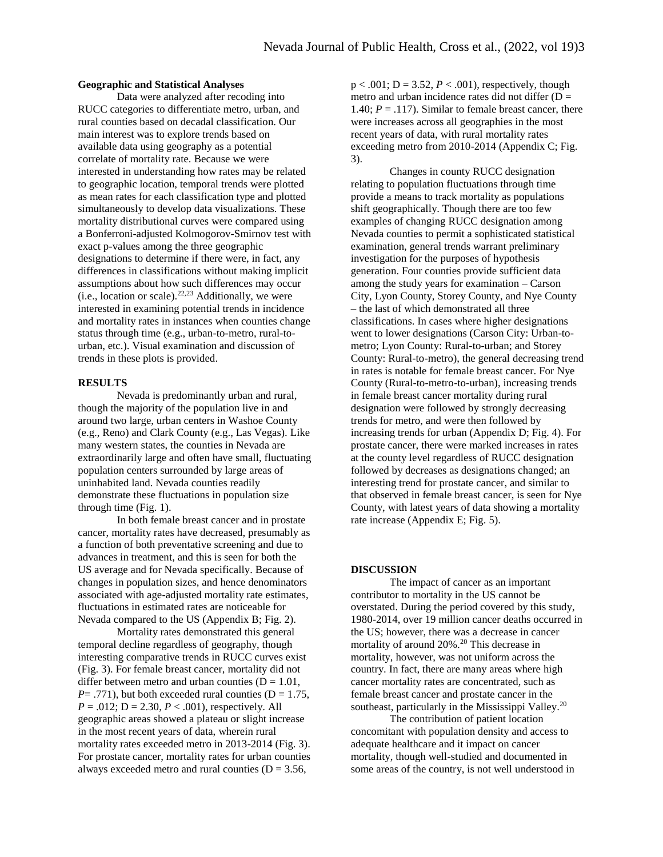## **Geographic and Statistical Analyses**

Data were analyzed after recoding into RUCC categories to differentiate metro, urban, and rural counties based on decadal classification. Our main interest was to explore trends based on available data using geography as a potential correlate of mortality rate. Because we were interested in understanding how rates may be related to geographic location, temporal trends were plotted as mean rates for each classification type and plotted simultaneously to develop data visualizations. These mortality distributional curves were compared using a Bonferroni-adjusted Kolmogorov-Smirnov test with exact p-values among the three geographic designations to determine if there were, in fact, any differences in classifications without making implicit assumptions about how such differences may occur (i.e., location or scale).<sup>22,23</sup> Additionally, we were interested in examining potential trends in incidence and mortality rates in instances when counties change status through time (e.g., urban-to-metro, rural-tourban, etc.). Visual examination and discussion of trends in these plots is provided.

## **RESULTS**

Nevada is predominantly urban and rural, though the majority of the population live in and around two large, urban centers in Washoe County (e.g., Reno) and Clark County (e.g., Las Vegas). Like many western states, the counties in Nevada are extraordinarily large and often have small, fluctuating population centers surrounded by large areas of uninhabited land. Nevada counties readily demonstrate these fluctuations in population size through time (Fig. 1).

In both female breast cancer and in prostate cancer, mortality rates have decreased, presumably as a function of both preventative screening and due to advances in treatment, and this is seen for both the US average and for Nevada specifically. Because of changes in population sizes, and hence denominators associated with age-adjusted mortality rate estimates, fluctuations in estimated rates are noticeable for Nevada compared to the US (Appendix B; Fig. 2).

Mortality rates demonstrated this general temporal decline regardless of geography, though interesting comparative trends in RUCC curves exist (Fig. 3). For female breast cancer, mortality did not differ between metro and urban counties  $(D = 1.01$ ,  $P = .771$ ), but both exceeded rural counties ( $D = 1.75$ ,  $P = .012$ ;  $D = 2.30$ ,  $P < .001$ ), respectively. All geographic areas showed a plateau or slight increase in the most recent years of data, wherein rural mortality rates exceeded metro in 2013-2014 (Fig. 3). For prostate cancer, mortality rates for urban counties always exceeded metro and rural counties ( $D = 3.56$ ,

 $p < .001$ ;  $D = 3.52$ ,  $P < .001$ ), respectively, though metro and urban incidence rates did not differ  $(D =$ 1.40;  $P = .117$ ). Similar to female breast cancer, there were increases across all geographies in the most recent years of data, with rural mortality rates exceeding metro from 2010-2014 (Appendix C; Fig. 3).

Changes in county RUCC designation relating to population fluctuations through time provide a means to track mortality as populations shift geographically. Though there are too few examples of changing RUCC designation among Nevada counties to permit a sophisticated statistical examination, general trends warrant preliminary investigation for the purposes of hypothesis generation. Four counties provide sufficient data among the study years for examination – Carson City, Lyon County, Storey County, and Nye County – the last of which demonstrated all three classifications. In cases where higher designations went to lower designations (Carson City: Urban-tometro; Lyon County: Rural-to-urban; and Storey County: Rural-to-metro), the general decreasing trend in rates is notable for female breast cancer. For Nye County (Rural-to-metro-to-urban), increasing trends in female breast cancer mortality during rural designation were followed by strongly decreasing trends for metro, and were then followed by increasing trends for urban (Appendix D; Fig. 4). For prostate cancer, there were marked increases in rates at the county level regardless of RUCC designation followed by decreases as designations changed; an interesting trend for prostate cancer, and similar to that observed in female breast cancer, is seen for Nye County, with latest years of data showing a mortality rate increase (Appendix E; Fig. 5).

#### **DISCUSSION**

The impact of cancer as an important contributor to mortality in the US cannot be overstated. During the period covered by this study, 1980-2014, over 19 million cancer deaths occurred in the US; however, there was a decrease in cancer mortality of around 20%.<sup>20</sup> This decrease in mortality, however, was not uniform across the country. In fact, there are many areas where high cancer mortality rates are concentrated, such as female breast cancer and prostate cancer in the southeast, particularly in the Mississippi Valley.<sup>20</sup>

The contribution of patient location concomitant with population density and access to adequate healthcare and it impact on cancer mortality, though well-studied and documented in some areas of the country, is not well understood in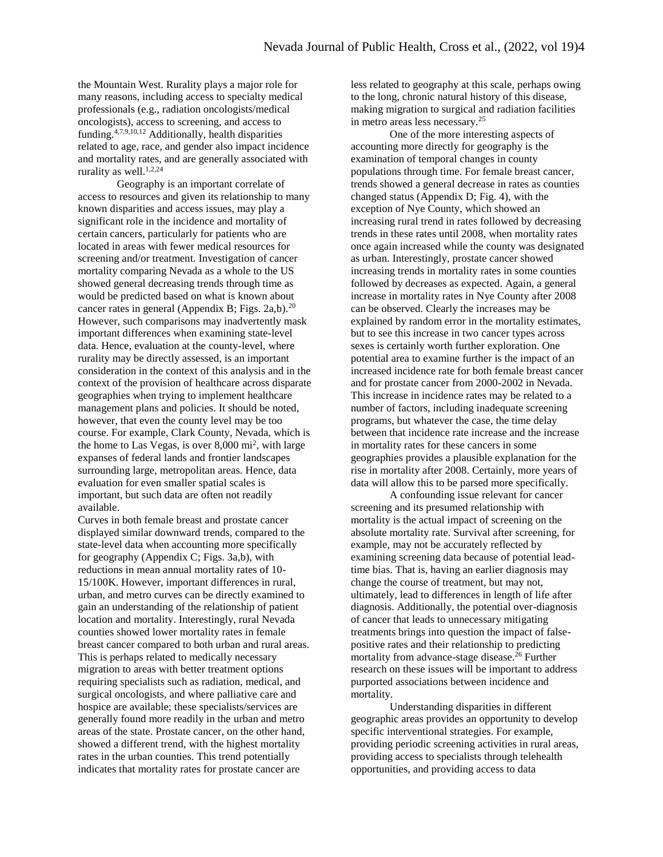the Mountain West. Rurality plays a major role for many reasons, including access to specialty medical professionals (e.g., radiation oncologists/medical oncologists), access to screening, and access to funding.4,7,9,10,12 Additionally, health disparities related to age, race, and gender also impact incidence and mortality rates, and are generally associated with rurality as well.<sup>1,2,24</sup>

Geography is an important correlate of access to resources and given its relationship to many known disparities and access issues, may play a significant role in the incidence and mortality of certain cancers, particularly for patients who are located in areas with fewer medical resources for screening and/or treatment. Investigation of cancer mortality comparing Nevada as a whole to the US showed general decreasing trends through time as would be predicted based on what is known about cancer rates in general (Appendix B; Figs. 2a,b).<sup>20</sup> However, such comparisons may inadvertently mask important differences when examining state-level data. Hence, evaluation at the county-level, where rurality may be directly assessed, is an important consideration in the context of this analysis and in the context of the provision of healthcare across disparate geographies when trying to implement healthcare management plans and policies. It should be noted, however, that even the county level may be too course. For example, Clark County, Nevada, which is the home to Las Vegas, is over 8,000 mi<sup>2</sup> , with large expanses of federal lands and frontier landscapes surrounding large, metropolitan areas. Hence, data evaluation for even smaller spatial scales is important, but such data are often not readily available.

Curves in both female breast and prostate cancer displayed similar downward trends, compared to the state-level data when accounting more specifically for geography (Appendix C; Figs. 3a,b), with reductions in mean annual mortality rates of 10- 15/100K. However, important differences in rural, urban, and metro curves can be directly examined to gain an understanding of the relationship of patient location and mortality. Interestingly, rural Nevada counties showed lower mortality rates in female breast cancer compared to both urban and rural areas. This is perhaps related to medically necessary migration to areas with better treatment options requiring specialists such as radiation, medical, and surgical oncologists, and where palliative care and hospice are available; these specialists/services are generally found more readily in the urban and metro areas of the state. Prostate cancer, on the other hand, showed a different trend, with the highest mortality rates in the urban counties. This trend potentially indicates that mortality rates for prostate cancer are

less related to geography at this scale, perhaps owing to the long, chronic natural history of this disease, making migration to surgical and radiation facilities in metro areas less necessary.<sup>25</sup>

One of the more interesting aspects of accounting more directly for geography is the examination of temporal changes in county populations through time. For female breast cancer, trends showed a general decrease in rates as counties changed status (Appendix D; Fig. 4), with the exception of Nye County, which showed an increasing rural trend in rates followed by decreasing trends in these rates until 2008, when mortality rates once again increased while the county was designated as urban. Interestingly, prostate cancer showed increasing trends in mortality rates in some counties followed by decreases as expected. Again, a general increase in mortality rates in Nye County after 2008 can be observed. Clearly the increases may be explained by random error in the mortality estimates, but to see this increase in two cancer types across sexes is certainly worth further exploration. One potential area to examine further is the impact of an increased incidence rate for both female breast cancer and for prostate cancer from 2000-2002 in Nevada. This increase in incidence rates may be related to a number of factors, including inadequate screening programs, but whatever the case, the time delay between that incidence rate increase and the increase in mortality rates for these cancers in some geographies provides a plausible explanation for the rise in mortality after 2008. Certainly, more years of data will allow this to be parsed more specifically.

A confounding issue relevant for cancer screening and its presumed relationship with mortality is the actual impact of screening on the absolute mortality rate. Survival after screening, for example, may not be accurately reflected by examining screening data because of potential leadtime bias. That is, having an earlier diagnosis may change the course of treatment, but may not, ultimately, lead to differences in length of life after diagnosis. Additionally, the potential over-diagnosis of cancer that leads to unnecessary mitigating treatments brings into question the impact of falsepositive rates and their relationship to predicting mortality from advance-stage disease.<sup>26</sup> Further research on these issues will be important to address purported associations between incidence and mortality.

Understanding disparities in different geographic areas provides an opportunity to develop specific interventional strategies. For example, providing periodic screening activities in rural areas, providing access to specialists through telehealth opportunities, and providing access to data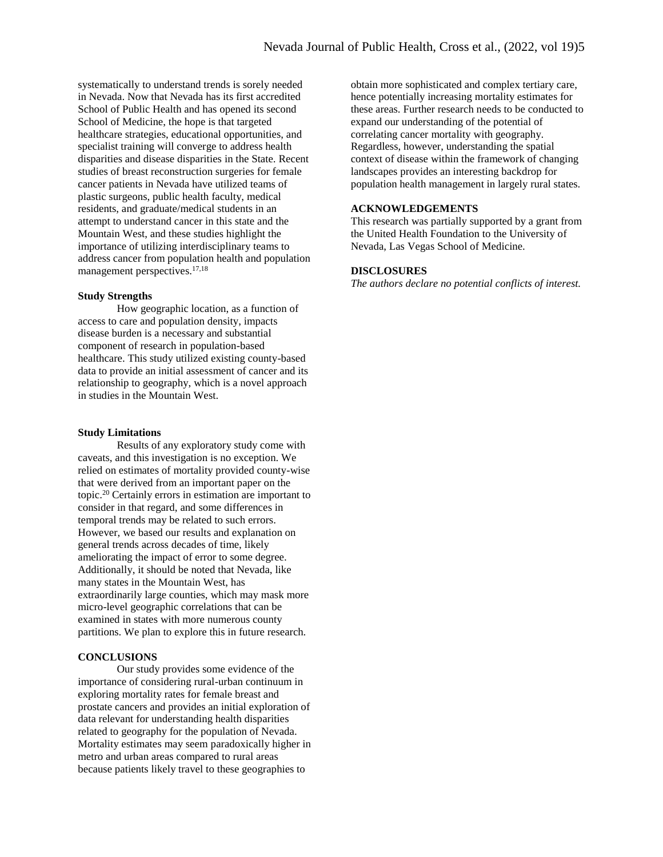systematically to understand trends is sorely needed in Nevada. Now that Nevada has its first accredited School of Public Health and has opened its second School of Medicine, the hope is that targeted healthcare strategies, educational opportunities, and specialist training will converge to address health disparities and disease disparities in the State. Recent studies of breast reconstruction surgeries for female cancer patients in Nevada have utilized teams of plastic surgeons, public health faculty, medical residents, and graduate/medical students in an attempt to understand cancer in this state and the Mountain West, and these studies highlight the importance of utilizing interdisciplinary teams to address cancer from population health and population management perspectives.17,18

#### **Study Strengths**

How geographic location, as a function of access to care and population density, impacts disease burden is a necessary and substantial component of research in population-based healthcare. This study utilized existing county-based data to provide an initial assessment of cancer and its relationship to geography, which is a novel approach in studies in the Mountain West.

#### **Study Limitations**

Results of any exploratory study come with caveats, and this investigation is no exception. We relied on estimates of mortality provided county-wise that were derived from an important paper on the topic.<sup>20</sup> Certainly errors in estimation are important to consider in that regard, and some differences in temporal trends may be related to such errors. However, we based our results and explanation on general trends across decades of time, likely ameliorating the impact of error to some degree. Additionally, it should be noted that Nevada, like many states in the Mountain West, has extraordinarily large counties, which may mask more micro-level geographic correlations that can be examined in states with more numerous county partitions. We plan to explore this in future research.

## **CONCLUSIONS**

Our study provides some evidence of the importance of considering rural-urban continuum in exploring mortality rates for female breast and prostate cancers and provides an initial exploration of data relevant for understanding health disparities related to geography for the population of Nevada. Mortality estimates may seem paradoxically higher in metro and urban areas compared to rural areas because patients likely travel to these geographies to

obtain more sophisticated and complex tertiary care, hence potentially increasing mortality estimates for these areas. Further research needs to be conducted to expand our understanding of the potential of correlating cancer mortality with geography. Regardless, however, understanding the spatial context of disease within the framework of changing landscapes provides an interesting backdrop for population health management in largely rural states.

## **ACKNOWLEDGEMENTS**

This research was partially supported by a grant from the United Health Foundation to the University of Nevada, Las Vegas School of Medicine.

## **DISCLOSURES**

*The authors declare no potential conflicts of interest.*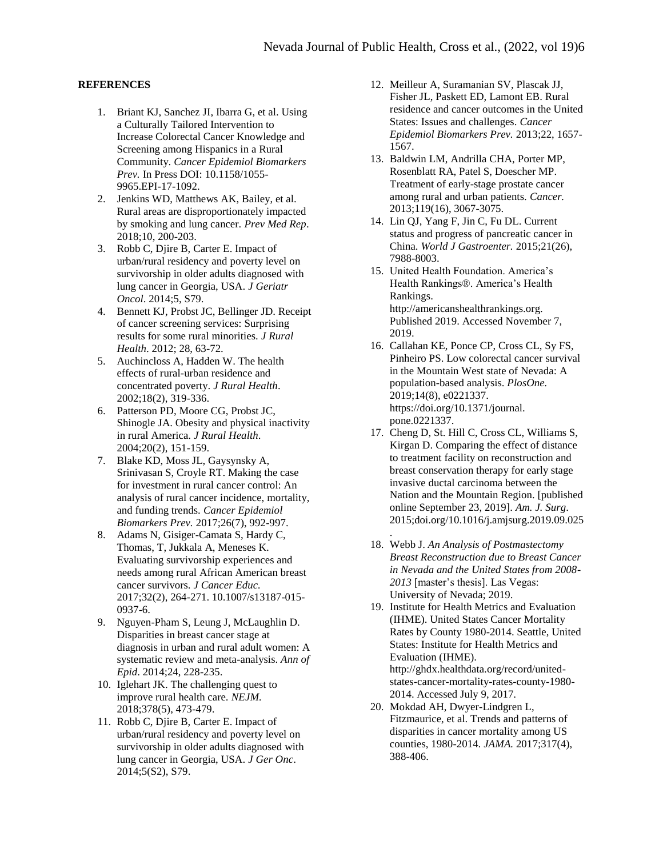# **REFERENCES**

- 1. Briant KJ, Sanchez JI, Ibarra G, et al. Using a Culturally Tailored Intervention to Increase Colorectal Cancer Knowledge and Screening among Hispanics in a Rural Community. *Cancer Epidemiol Biomarkers Prev.* In Press DOI: 10.1158/1055- 9965.EPI-17-1092.
- 2. Jenkins WD, Matthews AK, Bailey, et al. Rural areas are disproportionately impacted by smoking and lung cancer. *Prev Med Rep*. 2018;10, 200-203.
- 3. Robb C, Djire B, Carter E. Impact of urban/rural residency and poverty level on survivorship in older adults diagnosed with lung cancer in Georgia, USA. *J Geriatr Oncol*. 2014;5, S79.
- 4. Bennett KJ, Probst JC, Bellinger JD. Receipt of cancer screening services: Surprising results for some rural minorities. *J Rural Health*. 2012; 28, 63-72.
- 5. Auchincloss A, Hadden W. The health effects of rural-urban residence and concentrated poverty. *J Rural Health*. 2002;18(2), 319-336.
- 6. Patterson PD, Moore CG, Probst JC, Shinogle JA. Obesity and physical inactivity in rural America. *J Rural Health*. 2004;20(2), 151-159.
- 7. Blake KD, Moss JL, Gaysynsky A, Srinivasan S, Croyle RT. Making the case for investment in rural cancer control: An analysis of rural cancer incidence, mortality, and funding trends. *Cancer Epidemiol Biomarkers Prev.* 2017;26(7), 992-997.
- 8. Adams N, Gisiger-Camata S, Hardy C, Thomas, T, Jukkala A, Meneses K. Evaluating survivorship experiences and needs among rural African American breast cancer survivors. *J Cancer Educ.*  2017;32(2), 264-271. 10.1007/s13187-015- 0937-6.
- 9. Nguyen-Pham S, Leung J, McLaughlin D. Disparities in breast cancer stage at diagnosis in urban and rural adult women: A systematic review and meta-analysis. *Ann of Epid*. 2014;24, 228-235.
- 10. Iglehart JK. The challenging quest to improve rural health care. *NEJM.*  2018;378(5), 473-479.
- 11. Robb C, Djire B, Carter E. Impact of urban/rural residency and poverty level on survivorship in older adults diagnosed with lung cancer in Georgia, USA. *J Ger Onc*. 2014;5(S2), S79.
- 12. Meilleur A, Suramanian SV, Plascak JJ, Fisher JL, Paskett ED, Lamont EB. Rural residence and cancer outcomes in the United States: Issues and challenges. *Cancer Epidemiol Biomarkers Prev.* 2013;22, 1657- 1567.
- 13. Baldwin LM, Andrilla CHA, Porter MP, Rosenblatt RA, Patel S, Doescher MP. Treatment of early-stage prostate cancer among rural and urban patients. *Cancer.*  2013;119(16), 3067-3075.
- 14. Lin QJ, Yang F, Jin C, Fu DL. Current status and progress of pancreatic cancer in China. *World J Gastroenter.* 2015;21(26), 7988-8003.
- 15. United Health Foundation. America's Health Rankings®. America's Health Rankings. http://americanshealthrankings.org. Published 2019. Accessed November 7, 2019.
- 16. Callahan KE, Ponce CP, Cross CL, Sy FS, Pinheiro PS. Low colorectal cancer survival in the Mountain West state of Nevada: A population-based analysis. *PlosOne.* 2019;14(8), e0221337. https://doi.org/10.1371/journal. pone.0221337.
- 17. Cheng D, St. Hill C, Cross CL, Williams S, Kirgan D. Comparing the effect of distance to treatment facility on reconstruction and breast conservation therapy for early stage invasive ductal carcinoma between the Nation and the Mountain Region. [published online September 23, 2019]. *Am. J. Surg*. 2015;doi.org/10.1016/j.amjsurg.2019.09.025
- 18. Webb J. *An Analysis of Postmastectomy Breast Reconstruction due to Breast Cancer in Nevada and the United States from 2008- 2013* [master's thesis]. Las Vegas: University of Nevada; 2019.

.

- 19. Institute for Health Metrics and Evaluation (IHME). United States Cancer Mortality Rates by County 1980-2014. Seattle, United States: Institute for Health Metrics and Evaluation (IHME). http://ghdx.healthdata.org/record/unitedstates-cancer-mortality-rates-county-1980- 2014. Accessed July 9, 2017.
- 20. Mokdad AH, Dwyer-Lindgren L, Fitzmaurice, et al. Trends and patterns of disparities in cancer mortality among US counties, 1980-2014. *JAMA.* 2017;317(4), 388-406.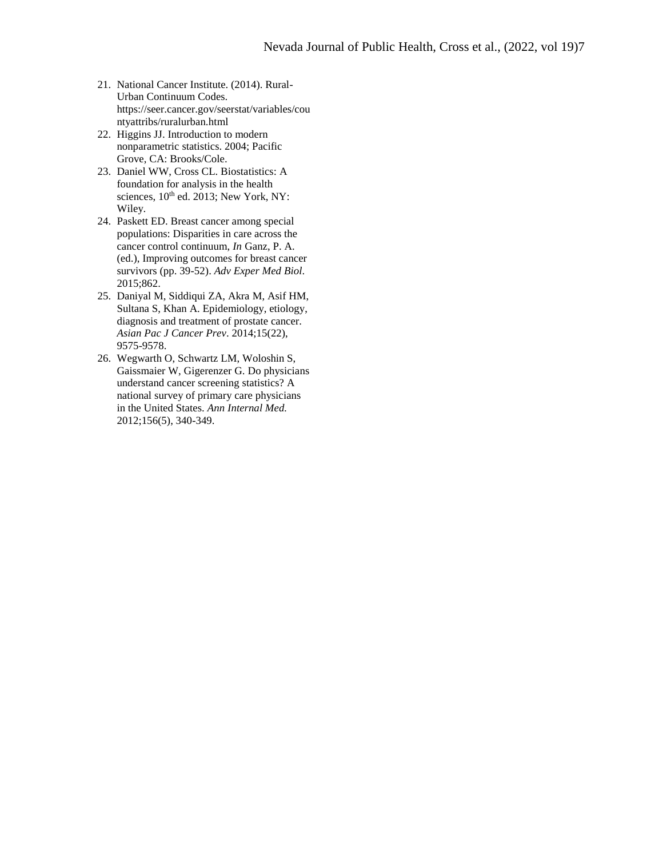- 21. National Cancer Institute. (2014). Rural-Urban Continuum Codes. https://seer.cancer.gov/seerstat/variables/cou ntyattribs/ruralurban.html
- 22. Higgins JJ. Introduction to modern nonparametric statistics. 2004; Pacific Grove, CA: Brooks/Cole.
- 23. Daniel WW, Cross CL. Biostatistics: A foundation for analysis in the health sciences,  $10^{th}$  ed. 2013; New York, NY: Wiley.
- 24. Paskett ED. Breast cancer among special populations: Disparities in care across the cancer control continuum, *In* Ganz, P. A. (ed.), Improving outcomes for breast cancer survivors (pp. 39-52). *Adv Exper Med Biol*. 2015;862.
- 25. Daniyal M, Siddiqui ZA, Akra M, Asif HM, Sultana S, Khan A. Epidemiology, etiology, diagnosis and treatment of prostate cancer. *Asian Pac J Cancer Prev*. 2014;15(22), 9575-9578.
- 26. Wegwarth O, Schwartz LM, Woloshin S, Gaissmaier W, Gigerenzer G. Do physicians understand cancer screening statistics? A national survey of primary care physicians in the United States. *Ann Internal Med.* 2012;156(5), 340-349.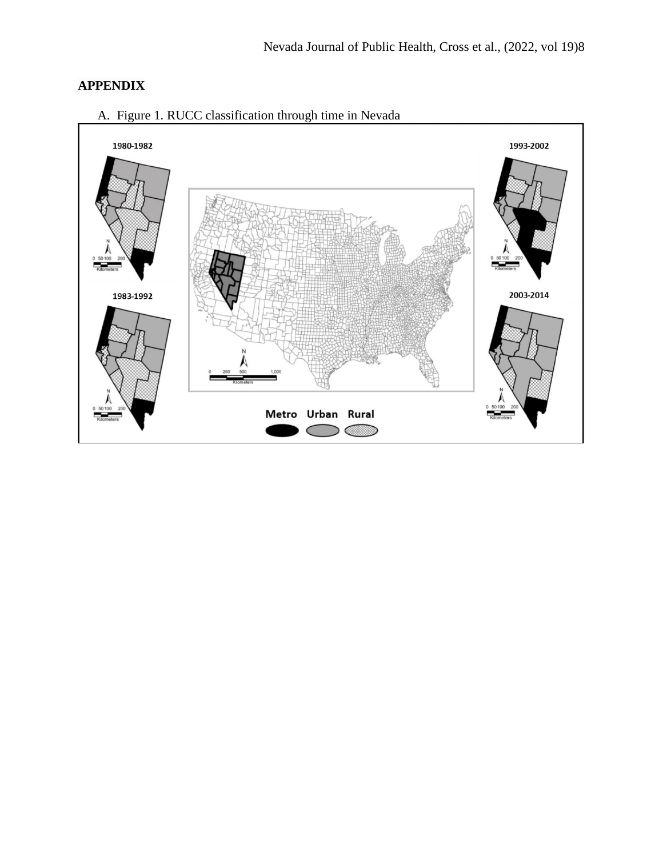# **APPENDIX**



A. Figure 1. RUCC classification through time in Nevada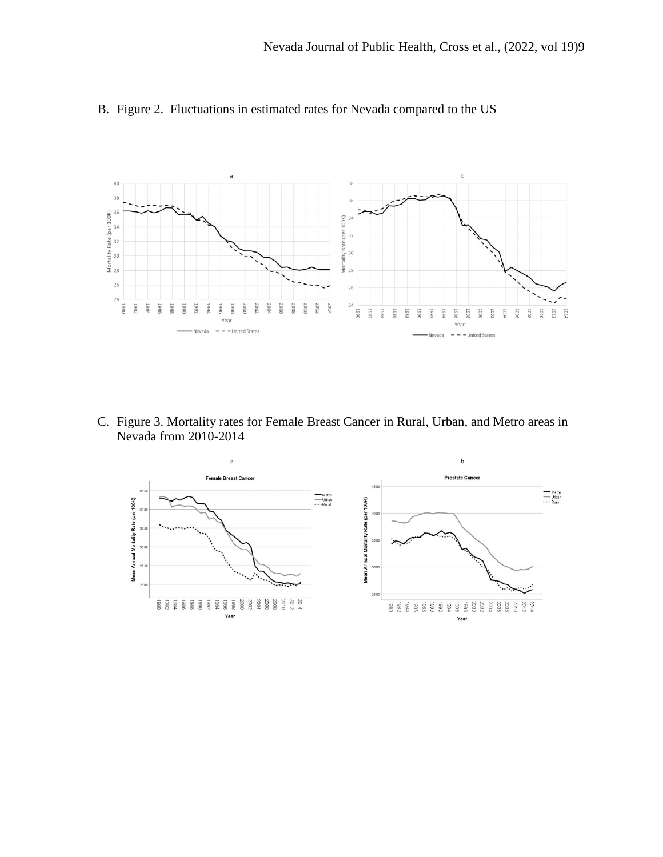

B. Figure 2. Fluctuations in estimated rates for Nevada compared to the US

C. Figure 3. Mortality rates for Female Breast Cancer in Rural, Urban, and Metro areas in Nevada from 2010-2014

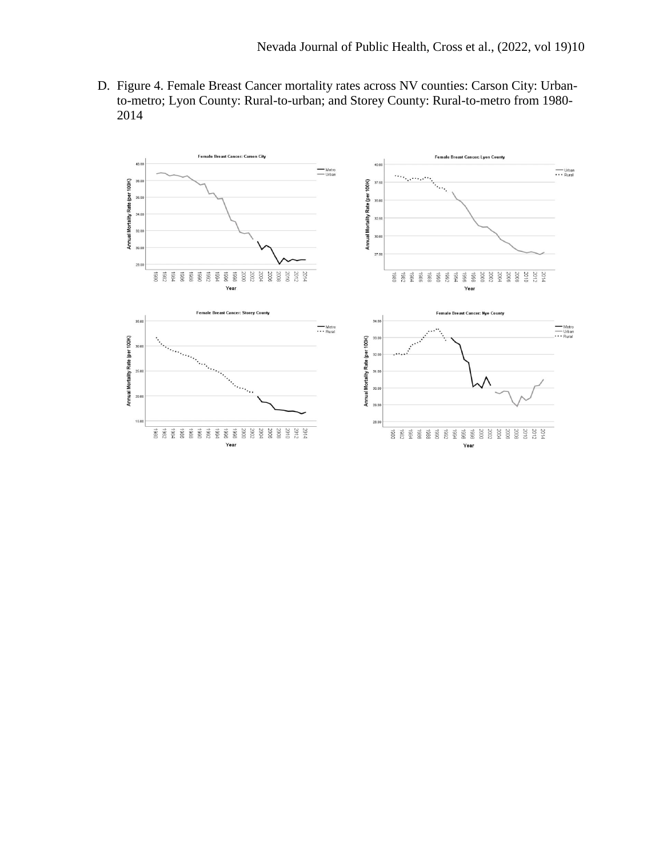D. Figure 4. Female Breast Cancer mortality rates across NV counties: Carson City: Urbanto-metro; Lyon County: Rural-to-urban; and Storey County: Rural-to-metro from 1980- 2014